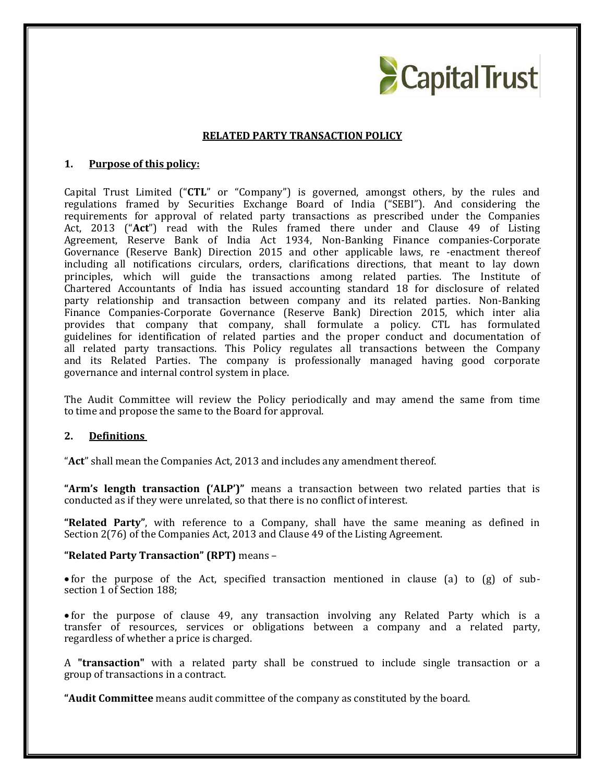

### **RELATED PARTY TRANSACTION POLICY**

#### **1. Purpose of this policy:**

Capital Trust Limited ("**CTL**" or "Company") is governed, amongst others, by the rules and regulations framed by Securities Exchange Board of India ("SEBI"). And considering the requirements for approval of related party transactions as prescribed under the Companies Act, 2013 ("**Act**") read with the Rules framed there under and Clause 49 of Listing Agreement, Reserve Bank of India Act 1934, Non-Banking Finance companies-Corporate Governance (Reserve Bank) Direction 2015 and other applicable laws, re -enactment thereof including all notifications circulars, orders, clarifications directions, that meant to lay down principles, which will guide the transactions among related parties. The Institute of Chartered Accountants of India has issued accounting standard 18 for disclosure of related party relationship and transaction between company and its related parties. Non-Banking Finance Companies-Corporate Governance (Reserve Bank) Direction 2015, which inter alia provides that company that company, shall formulate a policy. CTL has formulated guidelines for identification of related parties and the proper conduct and documentation of all related party transactions. This Policy regulates all transactions between the Company and its Related Parties. The company is professionally managed having good corporate governance and internal control system in place.

The Audit Committee will review the Policy periodically and may amend the same from time to time and propose the same to the Board for approval.

#### **2. Definitions**

"**Act**" shall mean the Companies Act, 2013 and includes any amendment thereof.

**"Arm's length transaction ('ALP')"** means a transaction between two related parties that is conducted as if they were unrelated, so that there is no conflict of interest.

**"Related Party"**, with reference to a Company, shall have the same meaning as defined in Section 2(76) of the Companies Act, 2013 and Clause 49 of the Listing Agreement.

#### **"Related Party Transaction" (RPT)** means –

 for the purpose of the Act, specified transaction mentioned in clause (a) to (g) of subsection 1 of Section 188;

 for the purpose of clause 49, any transaction involving any Related Party which is a transfer of resources, services or obligations between a company and a related party, regardless of whether a price is charged.

A **"transaction"** with a related party shall be construed to include single transaction or a group of transactions in a contract.

**"Audit Committee** means audit committee of the company as constituted by the board.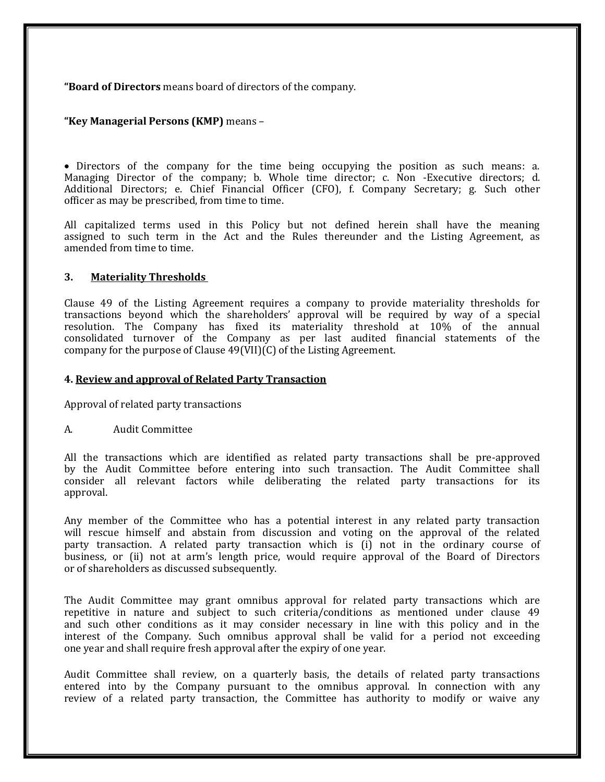**"Board of Directors** means board of directors of the company.

#### **"Key Managerial Persons (KMP)** means –

 Directors of the company for the time being occupying the position as such means: a. Managing Director of the company; b. Whole time director; c. Non -Executive directors; d. Additional Directors; e. Chief Financial Officer (CFO), f. Company Secretary; g. Such other officer as may be prescribed, from time to time.

All capitalized terms used in this Policy but not defined herein shall have the meaning assigned to such term in the Act and the Rules thereunder and the Listing Agreement, as amended from time to time.

## **3. Materiality Thresholds**

Clause 49 of the Listing Agreement requires a company to provide materiality thresholds for transactions beyond which the shareholders' approval will be required by way of a special resolution. The Company has fixed its materiality threshold at 10% of the annual consolidated turnover of the Company as per last audited financial statements of the company for the purpose of Clause 49(VII)(C) of the Listing Agreement.

#### **4. Review and approval of Related Party Transaction**

Approval of related party transactions

A. Audit Committee

All the transactions which are identified as related party transactions shall be pre-approved by the Audit Committee before entering into such transaction. The Audit Committee shall consider all relevant factors while deliberating the related party transactions for its approval.

Any member of the Committee who has a potential interest in any related party transaction will rescue himself and abstain from discussion and voting on the approval of the related party transaction. A related party transaction which is (i) not in the ordinary course of business, or (ii) not at arm's length price, would require approval of the Board of Directors or of shareholders as discussed subsequently.

The Audit Committee may grant omnibus approval for related party transactions which are repetitive in nature and subject to such criteria/conditions as mentioned under clause 49 and such other conditions as it may consider necessary in line with this policy and in the interest of the Company. Such omnibus approval shall be valid for a period not exceeding one year and shall require fresh approval after the expiry of one year.

Audit Committee shall review, on a quarterly basis, the details of related party transactions entered into by the Company pursuant to the omnibus approval. In connection with any review of a related party transaction, the Committee has authority to modify or waive any